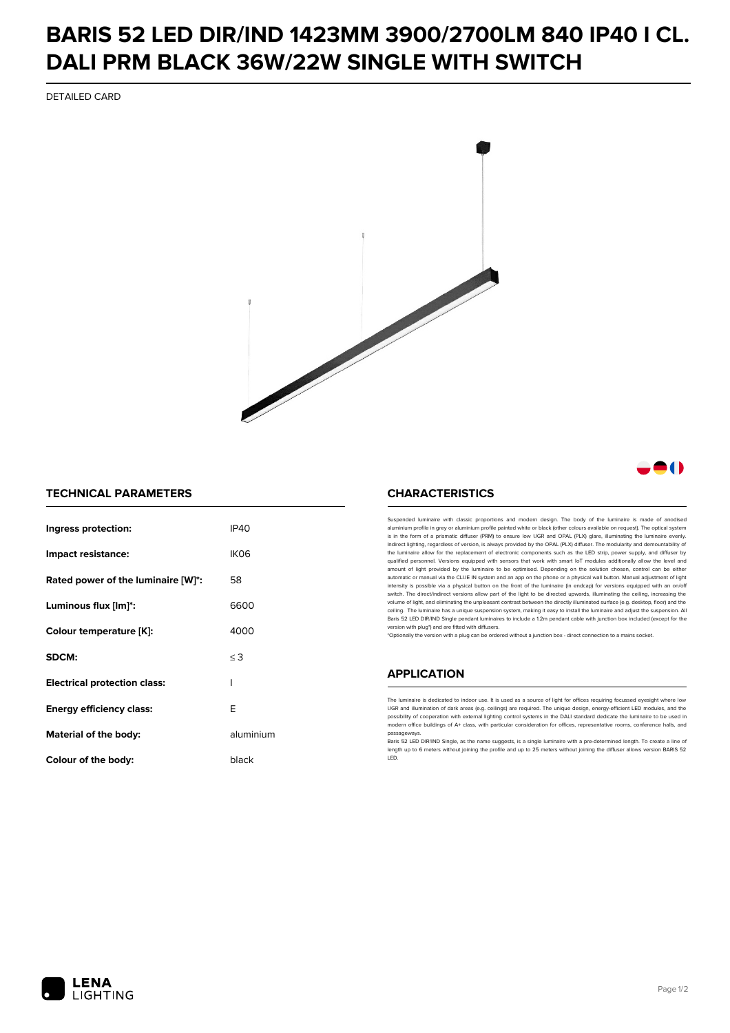## **BARIS 52 LED DIR/IND 1423MM 3900/2700LM 840 IP40 I CL. DALI PRM BLACK 36W/22W SINGLE WITH SWITCH**

DETAILED CARD



### -0

### **TECHNICAL PARAMETERS**

| Ingress protection:                 | IP40      |
|-------------------------------------|-----------|
| Impact resistance:                  | IKO6      |
| Rated power of the luminaire [W]*:  | 58        |
| Luminous flux [lm]*:                | 6600      |
| Colour temperature [K]:             | 4000      |
| SDCM:                               | $\leq$ 3  |
| <b>Electrical protection class:</b> | ı         |
| Energy efficiency class:            | F         |
| Material of the body:               | aluminium |
| Colour of the body:                 | black     |

#### **CHARACTERISTICS**

Suspended luminaire with classic proportions and modern design. The body of the luminaire is made of an aluminium profile in grey or aluminium profile painted white or black (other colours available on request). The optical system is in the form of a prismatic diffuser (PRM) to ensure low UGR and OPAL (PLX) glare, illuminating the luminaire evenly.<br>Indirect lighting, regardless of version, is always provided by the OPAL (PLX) diffuser. The modularit the luminaire allow for the replacement of electronic components such as the LED strip, power supply, and diffuser by qualified personnel. Versions equipped with sensors that work with smart IoT modules additionally allow the level and amount of light provided by the luminaire to be optimised. Depending on the solution chosen, control can be either automatic or manual via the CLUE IN system and an app on the phone or a physical wall button. Manual adjustment of light<br>intensity is possible via a physical button on the front of the luminaire (in endcap) for versions eq switch. The direct/indirect versions allow part of the light to be directed upwards, illuminating the ceiling, increasing the volume of light, and eliminating the unpleasant contrast between the directly illuminated surface (e.g. desktop, floor) and the ceiling. The luminaire has a unique suspension system, making it easy to install the luminaire and adjust the suspension. All Baris 52 LED DIR/IND Single pendant Iuminaires to include a 1.2m pendant cable with junction box included (except for the<br>version with plug\*) and are fitted with diffusers.

\*Optionally the version with a plug can be ordered without a junction box - direct connection to a mains socket.

#### **APPLICATION**

The luminaire is dedicated to indoor use. It is used as a source of light for offices requiring focussed eyesight where low UGR and illumination of dark areas (e.g. ceilings) are required. The unique design, energy-efficient LED modules, and the<br>possibility of cooperation with external lighting control systems in the DALI standard dedicate the modern office buildings of A+ class, with particular consideration for offices, representative rooms, conference halls, and passage

.<br>Baris 52 LED DIR/IND Single, as the name suggests, is a single luminaire with a pre-determined length. To create a line of length up to 6 meters without joining the profile and up to 25 meters without joining the diffuser allows version BARIS 52 LED.